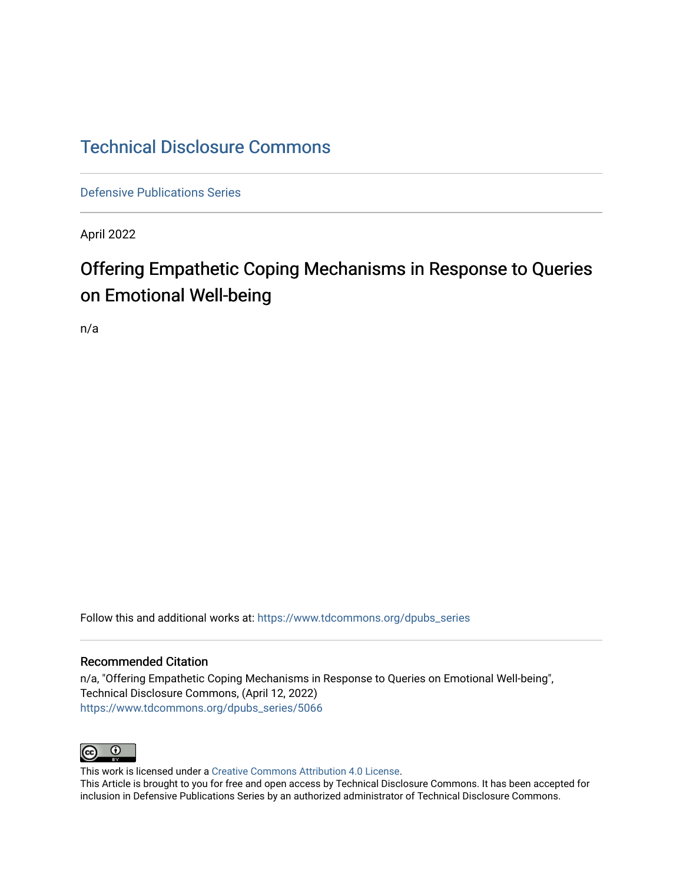# [Technical Disclosure Commons](https://www.tdcommons.org/)

[Defensive Publications Series](https://www.tdcommons.org/dpubs_series)

April 2022

# Offering Empathetic Coping Mechanisms in Response to Queries on Emotional Well-being

n/a

Follow this and additional works at: [https://www.tdcommons.org/dpubs\\_series](https://www.tdcommons.org/dpubs_series?utm_source=www.tdcommons.org%2Fdpubs_series%2F5066&utm_medium=PDF&utm_campaign=PDFCoverPages) 

## Recommended Citation

n/a, "Offering Empathetic Coping Mechanisms in Response to Queries on Emotional Well-being", Technical Disclosure Commons, (April 12, 2022) [https://www.tdcommons.org/dpubs\\_series/5066](https://www.tdcommons.org/dpubs_series/5066?utm_source=www.tdcommons.org%2Fdpubs_series%2F5066&utm_medium=PDF&utm_campaign=PDFCoverPages)



This work is licensed under a [Creative Commons Attribution 4.0 License](http://creativecommons.org/licenses/by/4.0/deed.en_US).

This Article is brought to you for free and open access by Technical Disclosure Commons. It has been accepted for inclusion in Defensive Publications Series by an authorized administrator of Technical Disclosure Commons.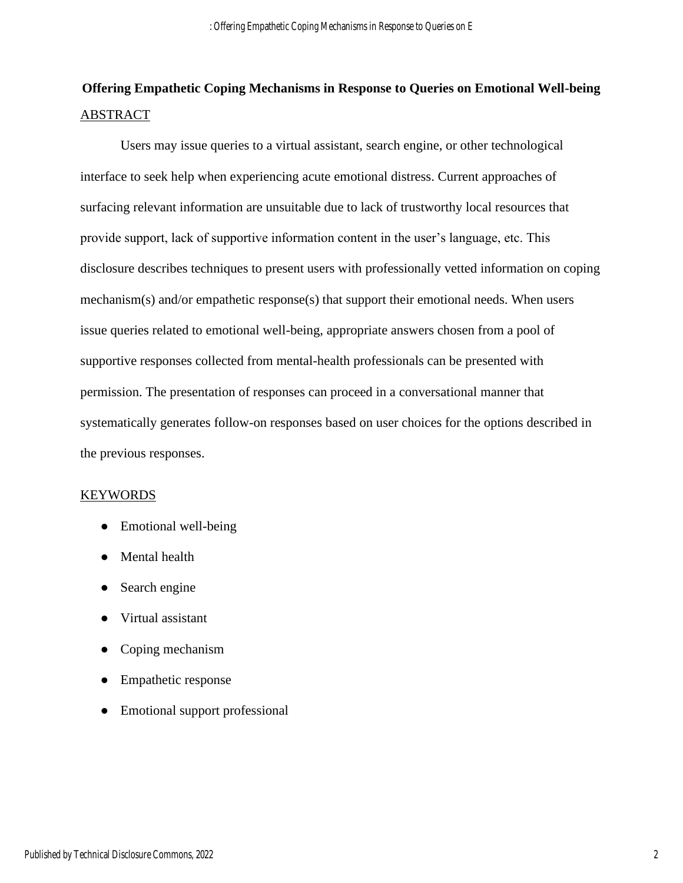## **Offering Empathetic Coping Mechanisms in Response to Queries on Emotional Well-being**  ABSTRACT

Users may issue queries to a virtual assistant, search engine, or other technological interface to seek help when experiencing acute emotional distress. Current approaches of surfacing relevant information are unsuitable due to lack of trustworthy local resources that provide support, lack of supportive information content in the user's language, etc. This disclosure describes techniques to present users with professionally vetted information on coping mechanism(s) and/or empathetic response(s) that support their emotional needs. When users issue queries related to emotional well-being, appropriate answers chosen from a pool of supportive responses collected from mental-health professionals can be presented with permission. The presentation of responses can proceed in a conversational manner that systematically generates follow-on responses based on user choices for the options described in the previous responses.

### KEYWORDS

- Emotional well-being
- Mental health
- Search engine
- Virtual assistant
- Coping mechanism
- Empathetic response
- Emotional support professional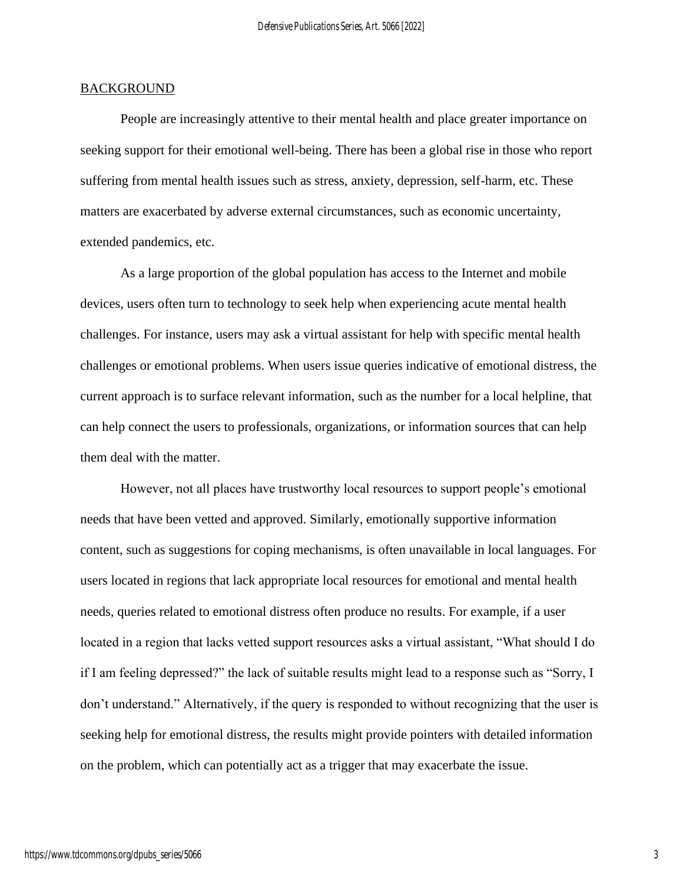#### **BACKGROUND**

People are increasingly attentive to their mental health and place greater importance on seeking support for their emotional well-being. There has been a global rise in those who report suffering from mental health issues such as stress, anxiety, depression, self-harm, etc. These matters are exacerbated by adverse external circumstances, such as economic uncertainty, extended pandemics, etc.

As a large proportion of the global population has access to the Internet and mobile devices, users often turn to technology to seek help when experiencing acute mental health challenges. For instance, users may ask a virtual assistant for help with specific mental health challenges or emotional problems. When users issue queries indicative of emotional distress, the current approach is to surface relevant information, such as the number for a local helpline, that can help connect the users to professionals, organizations, or information sources that can help them deal with the matter.

However, not all places have trustworthy local resources to support people's emotional needs that have been vetted and approved. Similarly, emotionally supportive information content, such as suggestions for coping mechanisms, is often unavailable in local languages. For users located in regions that lack appropriate local resources for emotional and mental health needs, queries related to emotional distress often produce no results. For example, if a user located in a region that lacks vetted support resources asks a virtual assistant, "What should I do if I am feeling depressed?" the lack of suitable results might lead to a response such as "Sorry, I don't understand." Alternatively, if the query is responded to without recognizing that the user is seeking help for emotional distress, the results might provide pointers with detailed information on the problem, which can potentially act as a trigger that may exacerbate the issue.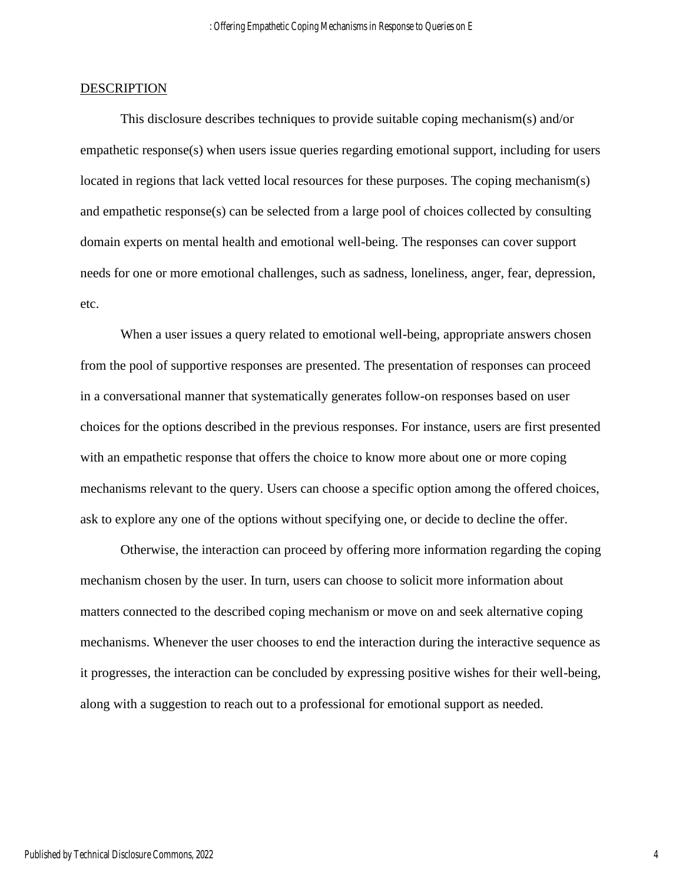#### **DESCRIPTION**

This disclosure describes techniques to provide suitable coping mechanism(s) and/or empathetic response(s) when users issue queries regarding emotional support, including for users located in regions that lack vetted local resources for these purposes. The coping mechanism(s) and empathetic response(s) can be selected from a large pool of choices collected by consulting domain experts on mental health and emotional well-being. The responses can cover support needs for one or more emotional challenges, such as sadness, loneliness, anger, fear, depression, etc.

When a user issues a query related to emotional well-being, appropriate answers chosen from the pool of supportive responses are presented. The presentation of responses can proceed in a conversational manner that systematically generates follow-on responses based on user choices for the options described in the previous responses. For instance, users are first presented with an empathetic response that offers the choice to know more about one or more coping mechanisms relevant to the query. Users can choose a specific option among the offered choices, ask to explore any one of the options without specifying one, or decide to decline the offer.

Otherwise, the interaction can proceed by offering more information regarding the coping mechanism chosen by the user. In turn, users can choose to solicit more information about matters connected to the described coping mechanism or move on and seek alternative coping mechanisms. Whenever the user chooses to end the interaction during the interactive sequence as it progresses, the interaction can be concluded by expressing positive wishes for their well-being, along with a suggestion to reach out to a professional for emotional support as needed.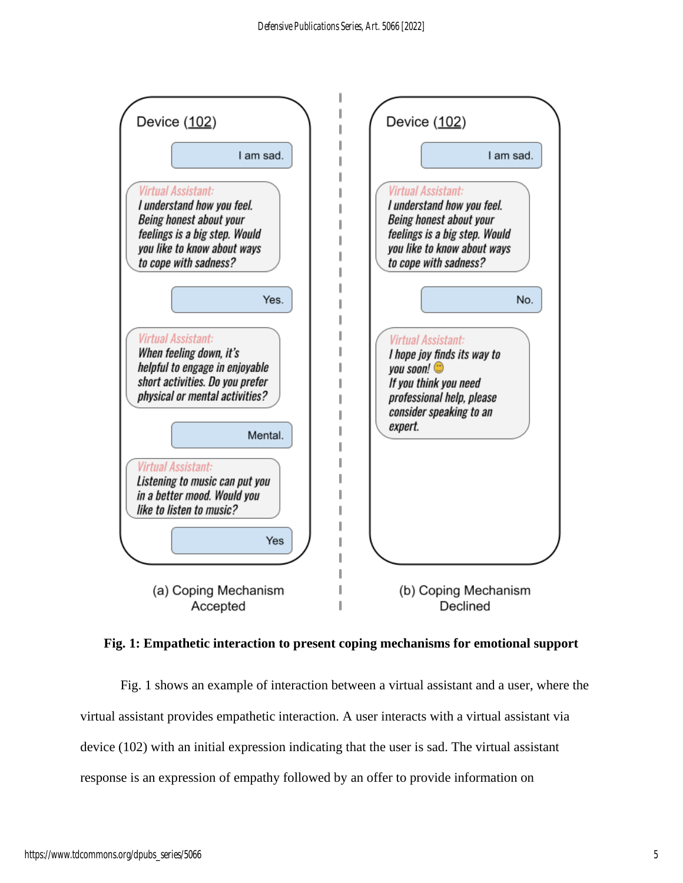

**Fig. 1: Empathetic interaction to present coping mechanisms for emotional support**

Fig. 1 shows an example of interaction between a virtual assistant and a user, where the virtual assistant provides empathetic interaction. A user interacts with a virtual assistant via device (102) with an initial expression indicating that the user is sad. The virtual assistant response is an expression of empathy followed by an offer to provide information on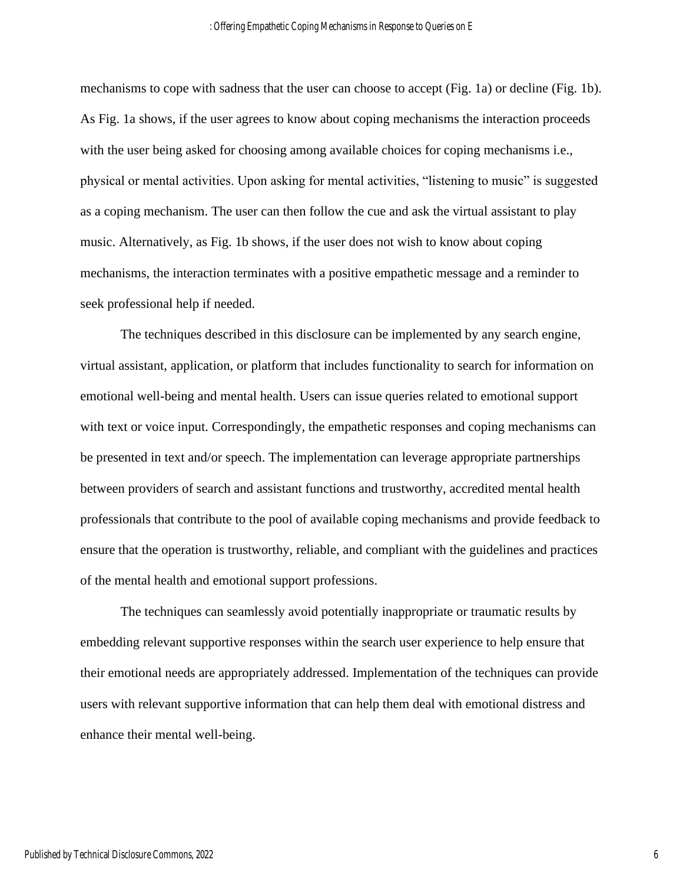mechanisms to cope with sadness that the user can choose to accept (Fig. 1a) or decline (Fig. 1b). As Fig. 1a shows, if the user agrees to know about coping mechanisms the interaction proceeds with the user being asked for choosing among available choices for coping mechanisms i.e., physical or mental activities. Upon asking for mental activities, "listening to music" is suggested as a coping mechanism. The user can then follow the cue and ask the virtual assistant to play music. Alternatively, as Fig. 1b shows, if the user does not wish to know about coping mechanisms, the interaction terminates with a positive empathetic message and a reminder to seek professional help if needed.

The techniques described in this disclosure can be implemented by any search engine, virtual assistant, application, or platform that includes functionality to search for information on emotional well-being and mental health. Users can issue queries related to emotional support with text or voice input. Correspondingly, the empathetic responses and coping mechanisms can be presented in text and/or speech. The implementation can leverage appropriate partnerships between providers of search and assistant functions and trustworthy, accredited mental health professionals that contribute to the pool of available coping mechanisms and provide feedback to ensure that the operation is trustworthy, reliable, and compliant with the guidelines and practices of the mental health and emotional support professions.

The techniques can seamlessly avoid potentially inappropriate or traumatic results by embedding relevant supportive responses within the search user experience to help ensure that their emotional needs are appropriately addressed. Implementation of the techniques can provide users with relevant supportive information that can help them deal with emotional distress and enhance their mental well-being.

6